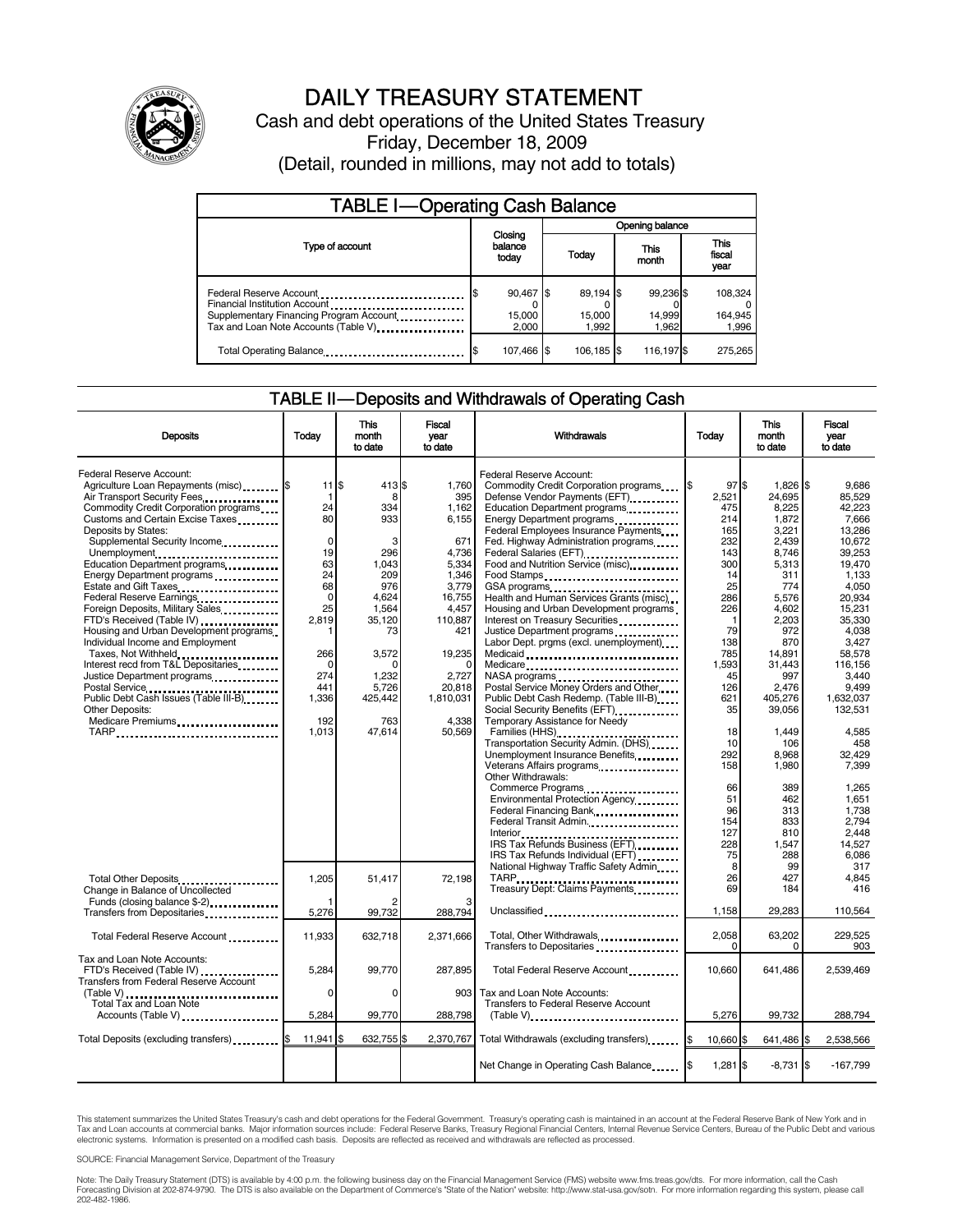

## DAILY TREASURY STATEMENT

Cash and debt operations of the United States Treasury Friday, December 18, 2009 (Detail, rounded in millions, may not add to totals)

| <b>TABLE I-Operating Cash Balance</b>                                                                                                       |                              |                              |                              |                               |  |  |  |
|---------------------------------------------------------------------------------------------------------------------------------------------|------------------------------|------------------------------|------------------------------|-------------------------------|--|--|--|
|                                                                                                                                             |                              | Opening balance              |                              |                               |  |  |  |
| Type of account                                                                                                                             | Closing<br>balance<br>today  | Today                        | This<br>month                | <b>This</b><br>fiscal<br>year |  |  |  |
| Federal Reserve Account<br>Financial Institution Account<br>Supplementary Financing Program Account<br>Tax and Loan Note Accounts (Table V) | 90,467 \$<br>15,000<br>2.000 | 89,194 \$<br>15,000<br>1.992 | 99.236 \$<br>14,999<br>1.962 | 108,324<br>164,945<br>1,996   |  |  |  |
| Total Operating Balance                                                                                                                     | 107,466 \$                   | 106.185 \$                   | 116,197 \$                   | 275,265                       |  |  |  |

#### TABLE II — Deposits and Withdrawals of Operating Cash

| <b>Deposits</b>                                                                                                                                                                                                                                                                                                                                                                                                                                                                                                                                                                                                                                                                                                | Todav                                                                                                                                                                     | <b>This</b><br>month<br>to date                                                                                                                            | Fiscal<br>vear<br>to date                                                                                                                                                   | Withdrawals                                                                                                                                                                                                                                                                                                                                                                                                                                                                                                                                                                                                                                                                                                                                                                                                                                                                                                                                                                                                                                      | Today                                                                                                                                                                                                                                 | <b>This</b><br>month<br>to date                                                                                                                                                                                                                                                | Fiscal<br>year<br>to date                                                                                                                                                                                                                                                                                      |
|----------------------------------------------------------------------------------------------------------------------------------------------------------------------------------------------------------------------------------------------------------------------------------------------------------------------------------------------------------------------------------------------------------------------------------------------------------------------------------------------------------------------------------------------------------------------------------------------------------------------------------------------------------------------------------------------------------------|---------------------------------------------------------------------------------------------------------------------------------------------------------------------------|------------------------------------------------------------------------------------------------------------------------------------------------------------|-----------------------------------------------------------------------------------------------------------------------------------------------------------------------------|--------------------------------------------------------------------------------------------------------------------------------------------------------------------------------------------------------------------------------------------------------------------------------------------------------------------------------------------------------------------------------------------------------------------------------------------------------------------------------------------------------------------------------------------------------------------------------------------------------------------------------------------------------------------------------------------------------------------------------------------------------------------------------------------------------------------------------------------------------------------------------------------------------------------------------------------------------------------------------------------------------------------------------------------------|---------------------------------------------------------------------------------------------------------------------------------------------------------------------------------------------------------------------------------------|--------------------------------------------------------------------------------------------------------------------------------------------------------------------------------------------------------------------------------------------------------------------------------|----------------------------------------------------------------------------------------------------------------------------------------------------------------------------------------------------------------------------------------------------------------------------------------------------------------|
| Federal Reserve Account:<br>Agriculture Loan Repayments (misc)  \$<br>Air Transport Security Fees<br>Commodity Credit Corporation programs<br>Customs and Certain Excise Taxes<br>Deposits by States:<br>Supplemental Security Income<br>Unemployment<br>Education Department programs<br>Energy Department programs<br>Federal Reserve Earnings<br>Foreign Deposits, Military Sales<br>FTD's Received (Table IV)<br>Housing and Urban Development programs<br>Individual Income and Employment<br>Taxes, Not Withheld<br>Interest recd from T&L Depositaries<br>Justice Department programs<br>Postal Service<br>Public Debt Cash Issues (Table III-B)<br><b>Other Deposits:</b><br>Medicare Premiums<br>TARP | $11$ $\overline{\text{s}}$<br>1<br>24<br>80<br>$\Omega$<br>19<br>63<br>24<br>68<br>$\Omega$<br>25<br>2,819<br>1<br>266<br>$\Omega$<br>274<br>441<br>1,336<br>192<br>1,013 | 413 \$<br>8<br>334<br>933<br>3<br>296<br>1.043<br>209<br>976<br>4.624<br>1,564<br>35,120<br>73<br>3.572<br>O<br>1,232<br>5,726<br>425,442<br>763<br>47,614 | 1.760<br>395<br>1,162<br>6,155<br>671<br>4,736<br>5,334<br>1.346<br>3,779<br>16.755<br>4,457<br>110,887<br>421<br>19,235<br>2,727<br>20,818<br>1,810,031<br>4.338<br>50,569 | Federal Reserve Account:<br>Commodity Credit Corporation programs<br>Defense Vendor Payments (EFT)<br>Education Department programs<br>Energy Department programs<br>Federal Employees Insurance Payments<br>Fed. Highway Administration programs<br>Federal Salaries (EFT)<br>Food and Nutrition Service (misc)<br>Food Stamps<br>GSA programs<br>Health and Human Services Grants (misc)<br>Housing and Urban Development programs<br>Interest on Treasury Securities<br>Justice Department programs<br>Labor Dept. prgms (excl. unemployment)<br>Medicaid<br>Medicare<br>NASA programs<br>Postal Service Money Orders and Other<br>Public Debt Cash Redemp. (Table III-B)<br>Temporary Assistance for Needy<br>Families (HHS)<br>Transportation Security Admin. (DHS)<br>Unemployment Insurance Benefits<br>Veterans Affairs programs<br>Other Withdrawals:<br>Commerce Programs<br>Environmental Protection Agency<br>Federal Financing Bank<br>Federal Transit Admin.<br>IRS Tax Refunds Business (EFT)<br>IRS Tax Refunds Individual (EFT) | 97S<br>1\$<br>2.521<br>475<br>214<br>165<br>232<br>143<br>300<br>14<br>25<br>286<br>226<br>$\mathbf{1}$<br>79<br>138<br>785<br>1,593<br>45<br>126<br>621<br>35<br>18<br>10<br>292<br>158<br>66<br>51<br>96<br>154<br>127<br>228<br>75 | $1.826$ S<br>24.695<br>8.225<br>1,872<br>3.221<br>2.439<br>8,746<br>5,313<br>311<br>774<br>5.576<br>4,602<br>2,203<br>972<br>870<br>14.891<br>31.443<br>997<br>2.476<br>405.276<br>39.056<br>1,449<br>106<br>8,968<br>1,980<br>389<br>462<br>313<br>833<br>810<br>1.547<br>288 | 9.686<br>85.529<br>42.223<br>7.666<br>13.286<br>10.672<br>39,253<br>19.470<br>1.133<br>4.050<br>20.934<br>15,231<br>35.330<br>4,038<br>3.427<br>58.578<br>116.156<br>3,440<br>9.499<br>1.632.037<br>132.531<br>4,585<br>458<br>32,429<br>7.399<br>1.265<br>1,651<br>1,738<br>2.794<br>2.448<br>14.527<br>6,086 |
| Total Other Deposits<br>Change in Balance of Uncollected<br>Funds (closing balance \$-2)<br>Transfers from Depositaries                                                                                                                                                                                                                                                                                                                                                                                                                                                                                                                                                                                        | 1,205<br>5,276                                                                                                                                                            | 51,417<br>99,732                                                                                                                                           | 72,198<br>288.794                                                                                                                                                           | National Highway Traffic Safety Admin<br>TARP<br>Teasury Dept: Claims Payments<br>Unclassified                                                                                                                                                                                                                                                                                                                                                                                                                                                                                                                                                                                                                                                                                                                                                                                                                                                                                                                                                   | 8<br>26<br>69<br>1.158                                                                                                                                                                                                                | 99<br>427<br>184<br>29.283                                                                                                                                                                                                                                                     | 317<br>4.845<br>416<br>110,564                                                                                                                                                                                                                                                                                 |
| Total Federal Reserve Account                                                                                                                                                                                                                                                                                                                                                                                                                                                                                                                                                                                                                                                                                  | 11,933                                                                                                                                                                    | 632,718                                                                                                                                                    | 2,371,666                                                                                                                                                                   | Total, Other Withdrawals<br>Transfers to Depositaries                                                                                                                                                                                                                                                                                                                                                                                                                                                                                                                                                                                                                                                                                                                                                                                                                                                                                                                                                                                            | 2,058<br>$\Omega$                                                                                                                                                                                                                     | 63,202<br>$\Omega$                                                                                                                                                                                                                                                             | 229,525<br>903                                                                                                                                                                                                                                                                                                 |
| Tax and Loan Note Accounts:<br>FTD's Received (Table IV)<br><b>Transfers from Federal Reserve Account</b><br>(Table V)<br>Total Tax and Loan Note<br>Accounts (Table V)                                                                                                                                                                                                                                                                                                                                                                                                                                                                                                                                        | 5,284<br>0<br>5,284                                                                                                                                                       | 99,770<br>$\Omega$<br>99,770                                                                                                                               | 287,895<br>903<br>288,798                                                                                                                                                   | Total Federal Reserve Account<br>Tax and Loan Note Accounts:<br>Transfers to Federal Reserve Account                                                                                                                                                                                                                                                                                                                                                                                                                                                                                                                                                                                                                                                                                                                                                                                                                                                                                                                                             | 10,660<br>5,276                                                                                                                                                                                                                       | 641,486<br>99,732                                                                                                                                                                                                                                                              | 2,539,469<br>288,794                                                                                                                                                                                                                                                                                           |
| Total Deposits (excluding transfers)                                                                                                                                                                                                                                                                                                                                                                                                                                                                                                                                                                                                                                                                           | 11,941                                                                                                                                                                    | 632,755                                                                                                                                                    | 2.370.767                                                                                                                                                                   | Total Withdrawals (excluding transfers) [\$                                                                                                                                                                                                                                                                                                                                                                                                                                                                                                                                                                                                                                                                                                                                                                                                                                                                                                                                                                                                      | 10,660 \$                                                                                                                                                                                                                             | 641,486 \$                                                                                                                                                                                                                                                                     | 2,538,566                                                                                                                                                                                                                                                                                                      |
|                                                                                                                                                                                                                                                                                                                                                                                                                                                                                                                                                                                                                                                                                                                |                                                                                                                                                                           |                                                                                                                                                            |                                                                                                                                                                             | Net Change in Operating Cash Balance                                                                                                                                                                                                                                                                                                                                                                                                                                                                                                                                                                                                                                                                                                                                                                                                                                                                                                                                                                                                             | $1,281$ \$                                                                                                                                                                                                                            | $-8,731$ \$                                                                                                                                                                                                                                                                    | $-167,799$                                                                                                                                                                                                                                                                                                     |

This statement summarizes the United States Treasury's cash and debt operations for the Federal Government. Treasury's operating cash is maintained in an account at the Federal Reserve Bank of New York and in<br>Tax and Loan

SOURCE: Financial Management Service, Department of the Treasury

Note: The Daily Treasury Statement (DTS) is available by 4:00 p.m. the following business day on the Financial Management Service (FMS) website www.fms.treas.gov/dts. For more information, call the Cash Forecasting Division at 202-874-9790. The DTS is also available on the Department of Commerce's "State of the Nation" website: http://www.stat-usa.gov/sotn. For more information regarding this system, please call<br>202-482-1